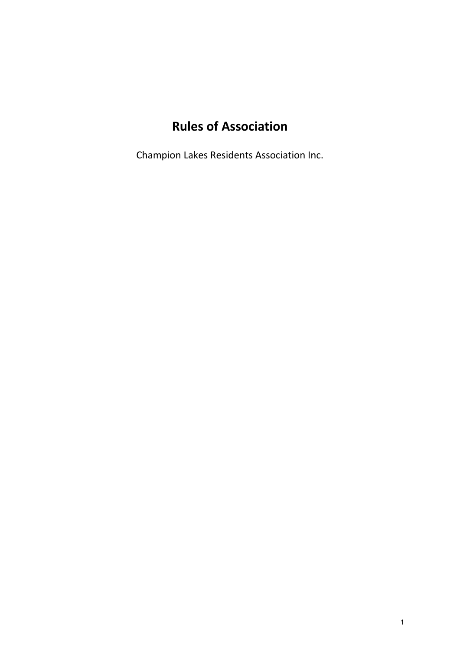# **Rules of Association**

Champion Lakes Residents Association Inc.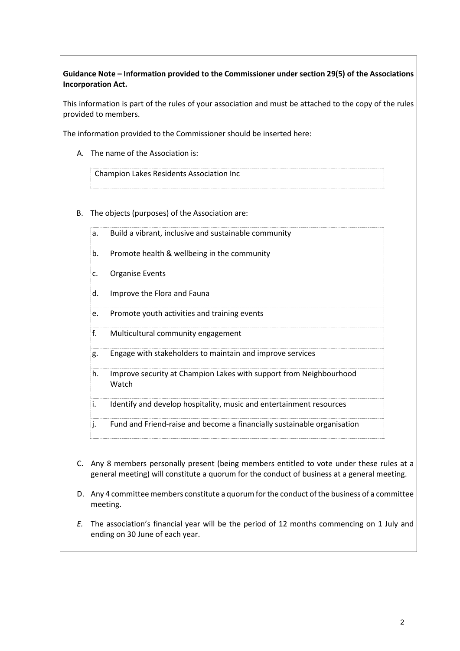**Guidance Note – Information provided to the Commissioner under section 29(5) of the Associations Incorporation Act.**

This information is part of the rules of your association and must be attached to the copy of the rules provided to members.

The information provided to the Commissioner should be inserted here:

A. The name of the Association is:

Champion Lakes Residents Association Inc

- B. The objects (purposes) of the Association are:
	- a. Build a vibrant, inclusive and sustainable community
	- b. Promote health & wellbeing in the community
	- c. Organise Events
	- d. Improve the Flora and Fauna
	- e. Promote youth activities and training events
	- f. Multicultural community engagement
	- g. Engage with stakeholders to maintain and improve services
	- h. Improve security at Champion Lakes with support from Neighbourhood Watch

i. Identify and develop hospitality, music and entertainment resources

- j. Fund and Friend-raise and become a financially sustainable organisation
- C. Any 8 members personally present (being members entitled to vote under these rules at a general meeting) will constitute a quorum for the conduct of business at a general meeting.
- D. Any 4 committee members constitute a quorum for the conduct of the business of a committee meeting.
- *E.* The association's financial year will be the period of 12 months commencing on 1 July and ending on 30 June of each year.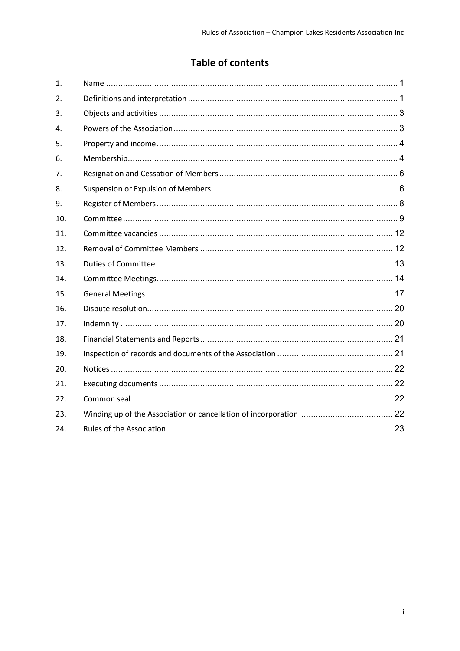# **Table of contents**

| 1.               |  |
|------------------|--|
| $\overline{2}$ . |  |
| 3.               |  |
| 4.               |  |
| 5.               |  |
| 6.               |  |
| 7.               |  |
| 8.               |  |
| 9.               |  |
| 10.              |  |
| 11.              |  |
| 12.              |  |
| 13.              |  |
| 14.              |  |
| 15.              |  |
| 16.              |  |
| 17.              |  |
| 18.              |  |
| 19.              |  |
| 20.              |  |
| 21.              |  |
| 22.              |  |
| 23.              |  |
| 24.              |  |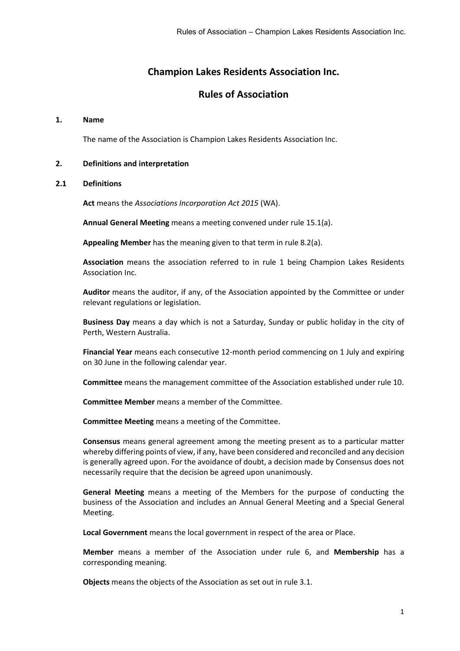# **Champion Lakes Residents Association Inc.**

# **Rules of Association**

#### <span id="page-3-0"></span>**1. Name**

The name of the Association is Champion Lakes Residents Association Inc.

#### <span id="page-3-1"></span>**2. Definitions and interpretation**

#### **2.1 Definitions**

**Act** means the *Associations Incorporation Act 2015* (WA).

**Annual General Meeting** means a meeting convened under rule [15.1\(a\).](#page-19-1)

**Appealing Member** has the meaning given to that term in rule [8.2\(a\).](#page-9-0)

**Association** means the association referred to in rule [1](#page-3-0) being Champion Lakes Residents Association Inc.

**Auditor** means the auditor, if any, of the Association appointed by the Committee or under relevant regulations or legislation.

**Business Day** means a day which is not a Saturday, Sunday or public holiday in the city of Perth, Western Australia.

**Financial Year** means each consecutive 12-month period commencing on 1 July and expiring on 30 June in the following calendar year.

**Committee** means the management committee of the Association established under rule [10.](#page-11-0)

**Committee Member** means a member of the Committee.

**Committee Meeting** means a meeting of the Committee.

**Consensus** means general agreement among the meeting present as to a particular matter whereby differing points of view, if any, have been considered and reconciled and any decision is generally agreed upon. For the avoidance of doubt, a decision made by Consensus does not necessarily require that the decision be agreed upon unanimously.

**General Meeting** means a meeting of the Members for the purpose of conducting the business of the Association and includes an Annual General Meeting and a Special General Meeting.

**Local Government** means the local government in respect of the area or Place.

**Member** means a member of the Association under rule [6,](#page-6-1) and **Membership** has a corresponding meaning.

**Objects** means the objects of the Association as set out in rule [3.1.](#page-5-2)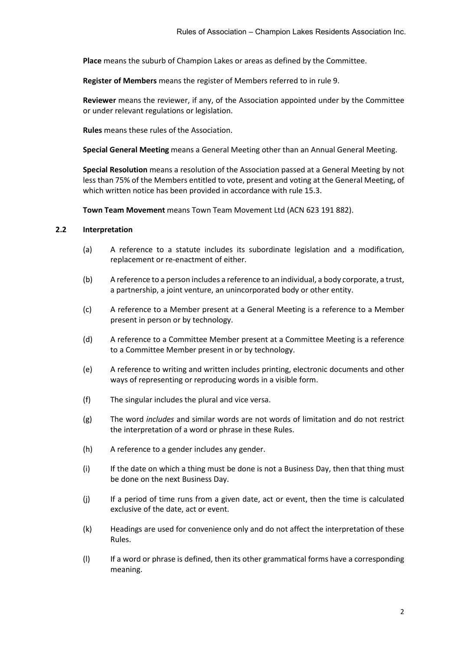**Place** means the suburb of Champion Lakes or areas as defined by the Committee.

**Register of Members** means the register of Members referred to in rule [9.](#page-10-0)

**Reviewer** means the reviewer, if any, of the Association appointed under by the Committee or under relevant regulations or legislation.

**Rules** means these rules of the Association.

**Special General Meeting** means a General Meeting other than an Annual General Meeting.

**Special Resolution** means a resolution of the Association passed at a General Meeting by not less than 75% of the Members entitled to vote, present and voting at the General Meeting, of which written notice has been provided in accordance with rule [15.3.](#page-19-2)

**Town Team Movement** means Town Team Movement Ltd (ACN 623 191 882).

# **2.2 Interpretation**

- (a) A reference to a statute includes its subordinate legislation and a modification, replacement or re-enactment of either.
- (b) A reference to a person includes a reference to an individual, a body corporate, a trust, a partnership, a joint venture, an unincorporated body or other entity.
- (c) A reference to a Member present at a General Meeting is a reference to a Member present in person or by technology.
- (d) A reference to a Committee Member present at a Committee Meeting is a reference to a Committee Member present in or by technology.
- (e) A reference to writing and written includes printing, electronic documents and other ways of representing or reproducing words in a visible form.
- (f) The singular includes the plural and vice versa.
- (g) The word *includes* and similar words are not words of limitation and do not restrict the interpretation of a word or phrase in these Rules.
- (h) A reference to a gender includes any gender.
- (i) If the date on which a thing must be done is not a Business Day, then that thing must be done on the next Business Day.
- (j) If a period of time runs from a given date, act or event, then the time is calculated exclusive of the date, act or event.
- (k) Headings are used for convenience only and do not affect the interpretation of these Rules.
- (l) If a word or phrase is defined, then its other grammatical forms have a corresponding meaning.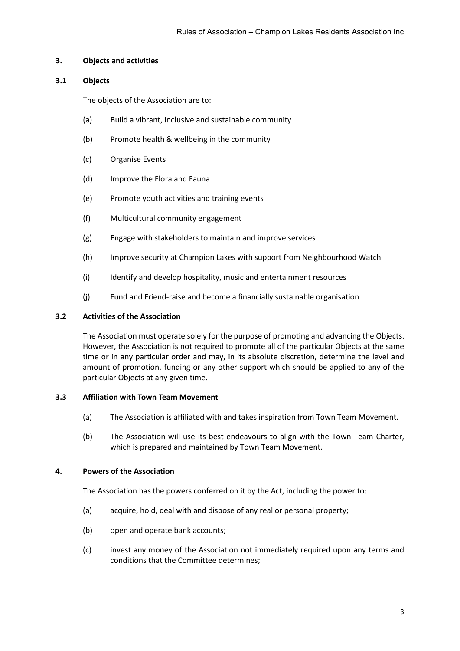# <span id="page-5-0"></span>**3. Objects and activities**

# <span id="page-5-2"></span>**3.1 Objects**

The objects of the Association are to:

- (a) Build a vibrant, inclusive and sustainable community
- (b) Promote health & wellbeing in the community
- (c) Organise Events
- (d) Improve the Flora and Fauna
- (e) Promote youth activities and training events
- (f) Multicultural community engagement
- (g) Engage with stakeholders to maintain and improve services
- (h) Improve security at Champion Lakes with support from Neighbourhood Watch
- (i) Identify and develop hospitality, music and entertainment resources
- (j) Fund and Friend-raise and become a financially sustainable organisation

# **3.2 Activities of the Association**

The Association must operate solely for the purpose of promoting and advancing the Objects. However, the Association is not required to promote all of the particular Objects at the same time or in any particular order and may, in its absolute discretion, determine the level and amount of promotion, funding or any other support which should be applied to any of the particular Objects at any given time.

# **3.3 Affiliation with Town Team Movement**

- (a) The Association is affiliated with and takes inspiration from Town Team Movement.
- (b) The Association will use its best endeavours to align with the Town Team Charter, which is prepared and maintained by Town Team Movement.

# <span id="page-5-1"></span>**4. Powers of the Association**

The Association has the powers conferred on it by the Act, including the power to:

- (a) acquire, hold, deal with and dispose of any real or personal property;
- (b) open and operate bank accounts;
- (c) invest any money of the Association not immediately required upon any terms and conditions that the Committee determines;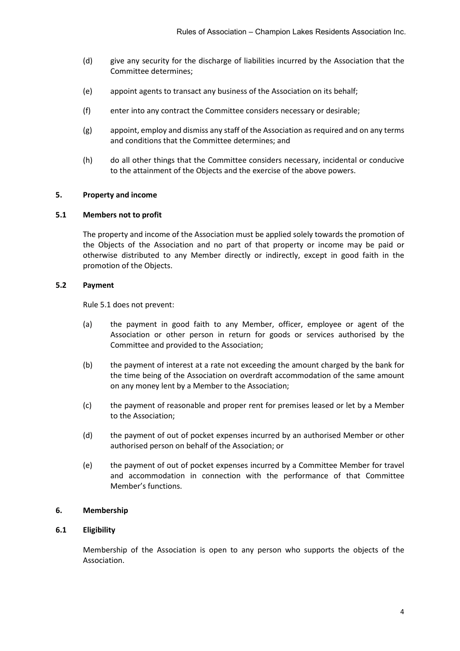- (d) give any security for the discharge of liabilities incurred by the Association that the Committee determines;
- (e) appoint agents to transact any business of the Association on its behalf;
- (f) enter into any contract the Committee considers necessary or desirable;
- (g) appoint, employ and dismiss any staff of the Association as required and on any terms and conditions that the Committee determines; and
- (h) do all other things that the Committee considers necessary, incidental or conducive to the attainment of the Objects and the exercise of the above powers.

#### <span id="page-6-2"></span><span id="page-6-0"></span>**5. Property and income**

#### **5.1 Members not to profit**

The property and income of the Association must be applied solely towards the promotion of the Objects of the Association and no part of that property or income may be paid or otherwise distributed to any Member directly or indirectly, except in good faith in the promotion of the Objects.

#### **5.2 Payment**

Rul[e 5.1](#page-6-2) does not prevent:

- (a) the payment in good faith to any Member, officer, employee or agent of the Association or other person in return for goods or services authorised by the Committee and provided to the Association;
- (b) the payment of interest at a rate not exceeding the amount charged by the bank for the time being of the Association on overdraft accommodation of the same amount on any money lent by a Member to the Association;
- (c) the payment of reasonable and proper rent for premises leased or let by a Member to the Association;
- (d) the payment of out of pocket expenses incurred by an authorised Member or other authorised person on behalf of the Association; or
- (e) the payment of out of pocket expenses incurred by a Committee Member for travel and accommodation in connection with the performance of that Committee Member's functions.

#### <span id="page-6-1"></span>**6. Membership**

# **6.1 Eligibility**

Membership of the Association is open to any person who supports the objects of the Association.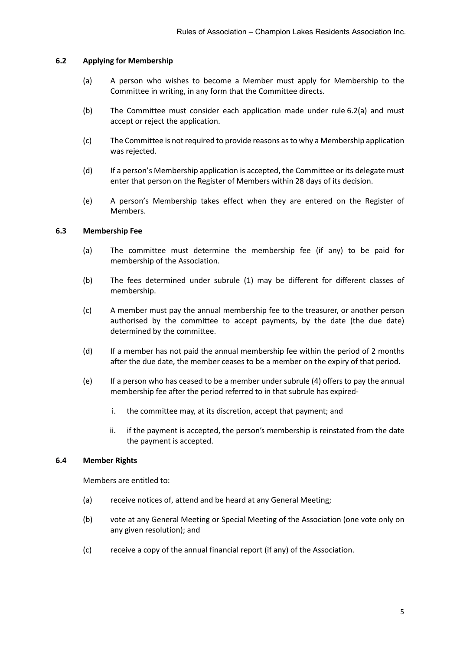#### **6.2 Applying for Membership**

- <span id="page-7-0"></span>(a) A person who wishes to become a Member must apply for Membership to the Committee in writing, in any form that the Committee directs.
- (b) The Committee must consider each application made under rule [6.2\(a\)](#page-7-0) and must accept or reject the application.
- (c) The Committee is not required to provide reasons as to why a Membership application was rejected.
- (d) If a person's Membership application is accepted, the Committee or its delegate must enter that person on the Register of Members within 28 days of its decision.
- (e) A person's Membership takes effect when they are entered on the Register of Members.

#### **6.3 Membership Fee**

- (a) The committee must determine the membership fee (if any) to be paid for membership of the Association.
- (b) The fees determined under subrule (1) may be different for different classes of membership.
- (c) A member must pay the annual membership fee to the treasurer, or another person authorised by the committee to accept payments, by the date (the due date) determined by the committee.
- (d) If a member has not paid the annual membership fee within the period of 2 months after the due date, the member ceases to be a member on the expiry of that period.
- (e) If a person who has ceased to be a member under subrule (4) offers to pay the annual membership fee after the period referred to in that subrule has expired
	- i. the committee may, at its discretion, accept that payment; and
	- ii. if the payment is accepted, the person's membership is reinstated from the date the payment is accepted.

#### **6.4 Member Rights**

Members are entitled to:

- (a) receive notices of, attend and be heard at any General Meeting;
- (b) vote at any General Meeting or Special Meeting of the Association (one vote only on any given resolution); and
- (c) receive a copy of the annual financial report (if any) of the Association.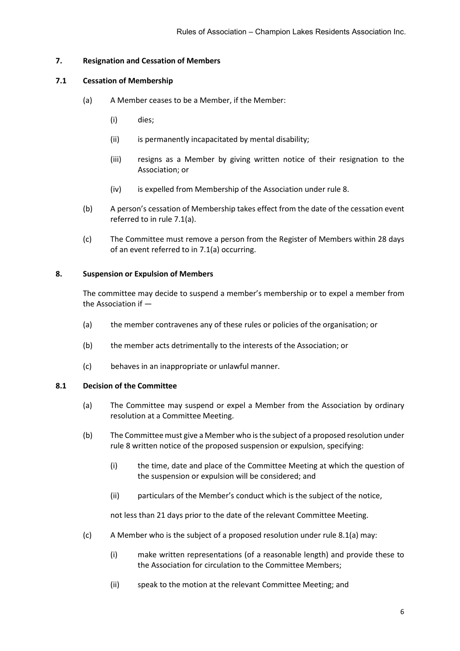# <span id="page-8-2"></span><span id="page-8-0"></span>**7. Resignation and Cessation of Members**

# <span id="page-8-3"></span>**7.1 Cessation of Membership**

- (a) A Member ceases to be a Member, if the Member:
	- (i) dies;
	- (ii) is permanently incapacitated by mental disability;
	- (iii) resigns as a Member by giving written notice of their resignation to the Association; or
	- (iv) is expelled from Membership of the Association under rule [8.](#page-8-1)
- (b) A person's cessation of Membership takes effect from the date of the cessation event referred to in rule [7.1](#page-8-2)[\(a\).](#page-8-3)
- (c) The Committee must remove a person from the Register of Members within 28 days of an event referred to in [7.1\(a\)](#page-8-3) occurring.

# <span id="page-8-1"></span>**8. Suspension or Expulsion of Members**

The committee may decide to suspend a member's membership or to expel a member from the Association if —

- (a) the member contravenes any of these rules or policies of the organisation; or
- (b) the member acts detrimentally to the interests of the Association; or
- (c) behaves in an inappropriate or unlawful manner.

# <span id="page-8-4"></span>**8.1 Decision of the Committee**

- (a) The Committee may suspend or expel a Member from the Association by ordinary resolution at a Committee Meeting.
- (b) The Committee must give a Member who is the subject of a proposed resolution under rule 8 written notice of the proposed suspension or expulsion, specifying:
	- (i) the time, date and place of the Committee Meeting at which the question of the suspension or expulsion will be considered; and
	- (ii) particulars of the Member's conduct which is the subject of the notice,

not less than 21 days prior to the date of the relevant Committee Meeting.

- <span id="page-8-5"></span> $(c)$  A Member who is the subject of a proposed resolution under rule [8.1\(a\)](#page-8-4) may:
	- (i) make written representations (of a reasonable length) and provide these to the Association for circulation to the Committee Members;
	- (ii) speak to the motion at the relevant Committee Meeting; and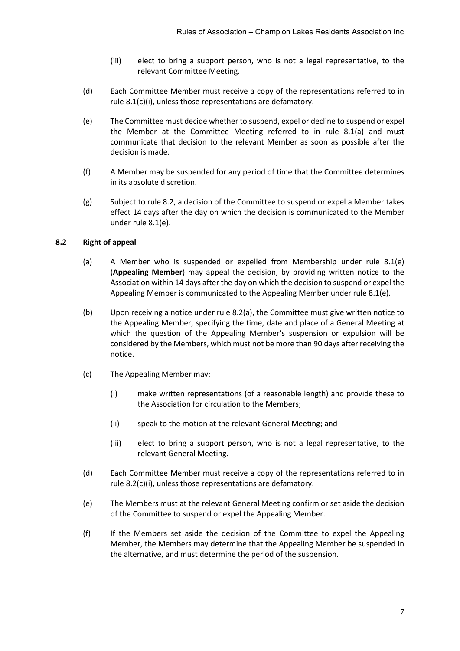- (iii) elect to bring a support person, who is not a legal representative, to the relevant Committee Meeting.
- (d) Each Committee Member must receive a copy of the representations referred to in rule [8.1\(c\)\(i\),](#page-8-5) unless those representations are defamatory.
- <span id="page-9-2"></span>(e) The Committee must decide whether to suspend, expel or decline to suspend or expel the Member at the Committee Meeting referred to in rule [8.1\(a\)](#page-8-4) and must communicate that decision to the relevant Member as soon as possible after the decision is made.
- (f) A Member may be suspended for any period of time that the Committee determines in its absolute discretion.
- (g) Subject to rule [8.2,](#page-9-1) a decision of the Committee to suspend or expel a Member takes effect 14 days after the day on which the decision is communicated to the Member under rule [8.1\(e\).](#page-9-2)

# <span id="page-9-1"></span><span id="page-9-0"></span>**8.2 Right of appeal**

- (a) A Member who is suspended or expelled from Membership under rule [8.1\(e\)](#page-9-2) (**Appealing Member**) may appeal the decision, by providing written notice to the Association within 14 days after the day on which the decision to suspend or expel the Appealing Member is communicated to the Appealing Member under rule [8.1\(e\).](#page-9-2)
- (b) Upon receiving a notice under rul[e 8.2\(a\),](#page-9-0) the Committee must give written notice to the Appealing Member, specifying the time, date and place of a General Meeting at which the question of the Appealing Member's suspension or expulsion will be considered by the Members, which must not be more than 90 days after receiving the notice.
- <span id="page-9-3"></span>(c) The Appealing Member may:
	- (i) make written representations (of a reasonable length) and provide these to the Association for circulation to the Members;
	- (ii) speak to the motion at the relevant General Meeting; and
	- (iii) elect to bring a support person, who is not a legal representative, to the relevant General Meeting.
- (d) Each Committee Member must receive a copy of the representations referred to in rule [8.2\(c\)\(i\),](#page-9-3) unless those representations are defamatory.
- <span id="page-9-4"></span>(e) The Members must at the relevant General Meeting confirm or set aside the decision of the Committee to suspend or expel the Appealing Member.
- <span id="page-9-5"></span>(f) If the Members set aside the decision of the Committee to expel the Appealing Member, the Members may determine that the Appealing Member be suspended in the alternative, and must determine the period of the suspension.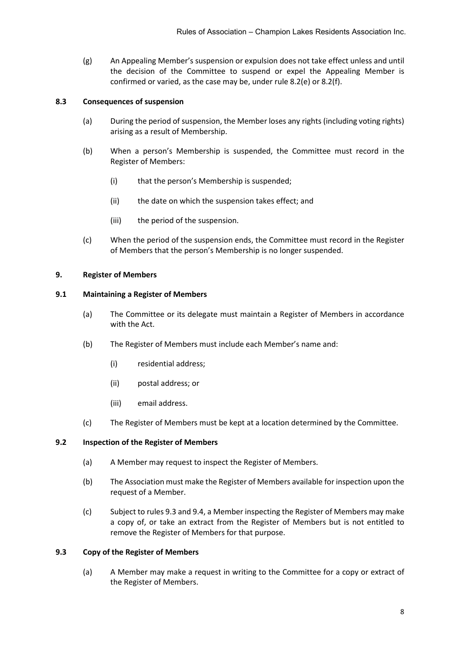(g) An Appealing Member's suspension or expulsion does not take effect unless and until the decision of the Committee to suspend or expel the Appealing Member is confirmed or varied, as the case may be, under rule [8.2\(e\)](#page-9-4) or [8.2\(f\).](#page-9-5)

# **8.3 Consequences of suspension**

- (a) During the period of suspension, the Member loses any rights (including voting rights) arising as a result of Membership.
- (b) When a person's Membership is suspended, the Committee must record in the Register of Members:
	- (i) that the person's Membership is suspended;
	- (ii) the date on which the suspension takes effect; and
	- (iii) the period of the suspension.
- (c) When the period of the suspension ends, the Committee must record in the Register of Members that the person's Membership is no longer suspended.

# <span id="page-10-0"></span>**9. Register of Members**

# **9.1 Maintaining a Register of Members**

- (a) The Committee or its delegate must maintain a Register of Members in accordance with the Act.
- (b) The Register of Members must include each Member's name and:
	- (i) residential address;
	- (ii) postal address; or
	- (iii) email address.
- (c) The Register of Members must be kept at a location determined by the Committee.

# <span id="page-10-2"></span>**9.2 Inspection of the Register of Members**

- (a) A Member may request to inspect the Register of Members.
- (b) The Association must make the Register of Members available for inspection upon the request of a Member.
- (c) Subject to rule[s 9.3](#page-10-1) and [9.4,](#page-11-1) a Member inspecting the Register of Members may make a copy of, or take an extract from the Register of Members but is not entitled to remove the Register of Members for that purpose.

# <span id="page-10-1"></span>**9.3 Copy of the Register of Members**

(a) A Member may make a request in writing to the Committee for a copy or extract of the Register of Members.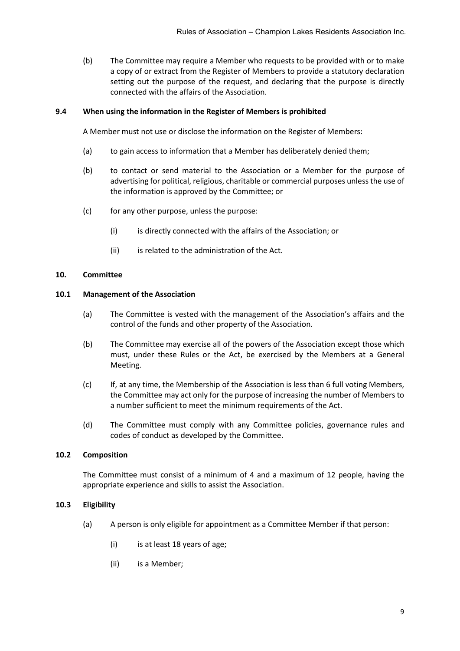(b) The Committee may require a Member who requests to be provided with or to make a copy of or extract from the Register of Members to provide a statutory declaration setting out the purpose of the request, and declaring that the purpose is directly connected with the affairs of the Association.

# <span id="page-11-1"></span>**9.4 When using the information in the Register of Members is prohibited**

A Member must not use or disclose the information on the Register of Members:

- (a) to gain access to information that a Member has deliberately denied them;
- (b) to contact or send material to the Association or a Member for the purpose of advertising for political, religious, charitable or commercial purposes unless the use of the information is approved by the Committee; or
- (c) for any other purpose, unless the purpose:
	- (i) is directly connected with the affairs of the Association; or
	- (ii) is related to the administration of the Act.

#### <span id="page-11-0"></span>**10. Committee**

#### **10.1 Management of the Association**

- (a) The Committee is vested with the management of the Association's affairs and the control of the funds and other property of the Association.
- (b) The Committee may exercise all of the powers of the Association except those which must, under these Rules or the Act, be exercised by the Members at a General Meeting.
- (c) If, at any time, the Membership of the Association is less than 6 full voting Members, the Committee may act only for the purpose of increasing the number of Members to a number sufficient to meet the minimum requirements of the Act.
- (d) The Committee must comply with any Committee policies, governance rules and codes of conduct as developed by the Committee.

#### **10.2 Composition**

The Committee must consist of a minimum of 4 and a maximum of 12 people, having the appropriate experience and skills to assist the Association.

# <span id="page-11-2"></span>**10.3 Eligibility**

- (a) A person is only eligible for appointment as a Committee Member if that person:
	- (i) is at least 18 years of age;
	- (ii) is a Member;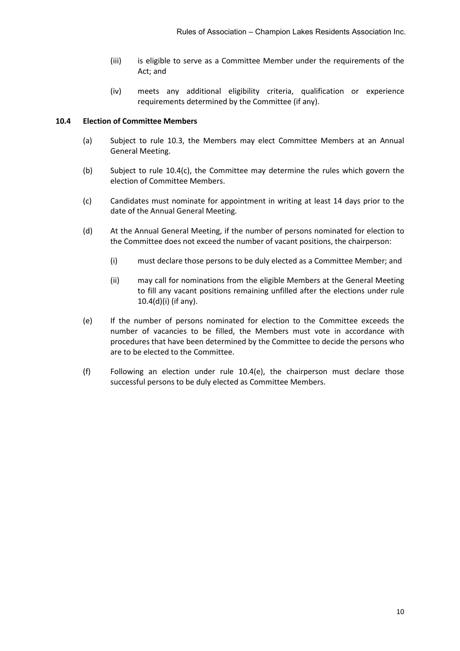- (iii) is eligible to serve as a Committee Member under the requirements of the Act; and
- (iv) meets any additional eligibility criteria, qualification or experience requirements determined by the Committee (if any).

#### **10.4 Election of Committee Members**

- (a) Subject to rule [10.3,](#page-11-2) the Members may elect Committee Members at an Annual General Meeting.
- (b) Subject to rule [10.4\(c\),](#page-12-0) the Committee may determine the rules which govern the election of Committee Members.
- <span id="page-12-0"></span>(c) Candidates must nominate for appointment in writing at least 14 days prior to the date of the Annual General Meeting.
- <span id="page-12-1"></span>(d) At the Annual General Meeting, if the number of persons nominated for election to the Committee does not exceed the number of vacant positions, the chairperson:
	- (i) must declare those persons to be duly elected as a Committee Member; and
	- (ii) may call for nominations from the eligible Members at the General Meeting to fill any vacant positions remaining unfilled after the elections under rule [10.4\(d\)\(i\)](#page-12-1) (if any).
- <span id="page-12-2"></span>(e) If the number of persons nominated for election to the Committee exceeds the number of vacancies to be filled, the Members must vote in accordance with procedures that have been determined by the Committee to decide the persons who are to be elected to the Committee.
- (f) Following an election under rule [10.4\(e\),](#page-12-2) the chairperson must declare those successful persons to be duly elected as Committee Members.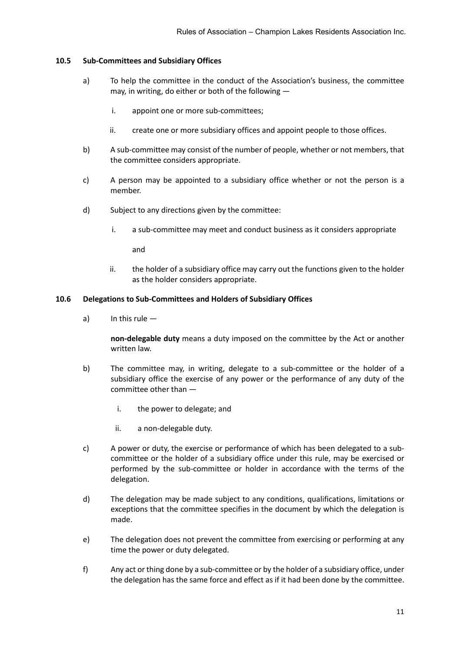# **10.5 Sub-Committees and Subsidiary Offices**

- a) To help the committee in the conduct of the Association's business, the committee may, in writing, do either or both of the following
	- i. appoint one or more sub-committees;
	- ii. create one or more subsidiary offices and appoint people to those offices.
- b) A sub-committee may consist of the number of people, whether or not members, that the committee considers appropriate.
- c) A person may be appointed to a subsidiary office whether or not the person is a member.
- d) Subject to any directions given by the committee:
	- i. a sub-committee may meet and conduct business as it considers appropriate

and

ii. the holder of a subsidiary office may carry out the functions given to the holder as the holder considers appropriate.

# **10.6 Delegations to Sub-Committees and Holders of Subsidiary Offices**

a) In this rule —

**non-delegable duty** means a duty imposed on the committee by the Act or another written law.

- b) The committee may, in writing, delegate to a sub-committee or the holder of a subsidiary office the exercise of any power or the performance of any duty of the committee other than
	- i. the power to delegate; and
	- ii. a non-delegable duty.
- c) A power or duty, the exercise or performance of which has been delegated to a subcommittee or the holder of a subsidiary office under this rule, may be exercised or performed by the sub-committee or holder in accordance with the terms of the delegation.
- d) The delegation may be made subject to any conditions, qualifications, limitations or exceptions that the committee specifies in the document by which the delegation is made.
- e) The delegation does not prevent the committee from exercising or performing at any time the power or duty delegated.
- f) Any act or thing done by a sub-committee or by the holder of a subsidiary office, under the delegation has the same force and effect as if it had been done by the committee.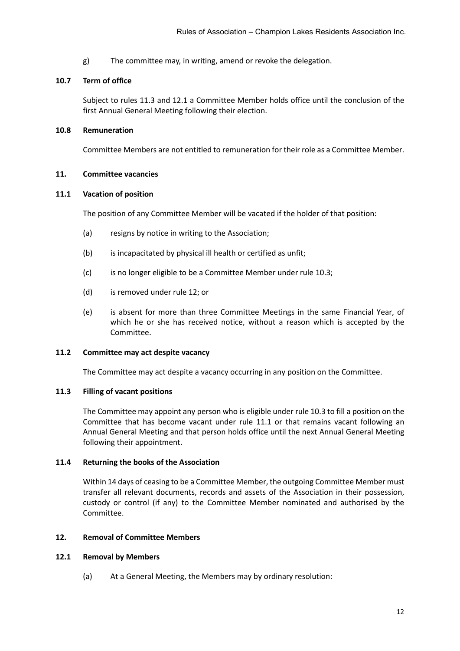g) The committee may, in writing, amend or revoke the delegation.

#### **10.7 Term of office**

Subject to rules [11.3](#page-14-2) and [12.1](#page-14-3) a Committee Member holds office until the conclusion of the first Annual General Meeting following their election.

#### **10.8 Remuneration**

Committee Members are not entitled to remuneration for their role as a Committee Member.

#### <span id="page-14-4"></span><span id="page-14-0"></span>**11. Committee vacancies**

#### **11.1 Vacation of position**

The position of any Committee Member will be vacated if the holder of that position:

- (a) resigns by notice in writing to the Association;
- (b) is incapacitated by physical ill health or certified as unfit;
- (c) is no longer eligible to be a Committee Member under rule [10.3;](#page-11-2)
- (d) is removed under rule [12;](#page-14-1) or
- (e) is absent for more than three Committee Meetings in the same Financial Year, of which he or she has received notice, without a reason which is accepted by the Committee.

#### **11.2 Committee may act despite vacancy**

The Committee may act despite a vacancy occurring in any position on the Committee.

# <span id="page-14-2"></span>**11.3 Filling of vacant positions**

The Committee may appoint any person who is eligible under rule [10.3](#page-11-2) to fill a position on the Committee that has become vacant under rule [11.1](#page-14-4) or that remains vacant following an Annual General Meeting and that person holds office until the next Annual General Meeting following their appointment.

#### **11.4 Returning the books of the Association**

Within 14 days of ceasing to be a Committee Member, the outgoing Committee Member must transfer all relevant documents, records and assets of the Association in their possession, custody or control (if any) to the Committee Member nominated and authorised by the Committee.

# <span id="page-14-3"></span><span id="page-14-1"></span>**12. Removal of Committee Members**

#### **12.1 Removal by Members**

(a) At a General Meeting, the Members may by ordinary resolution: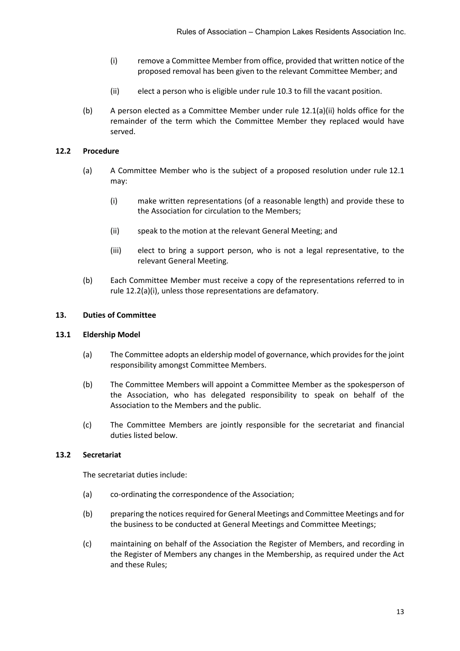- (i) remove a Committee Member from office, provided that written notice of the proposed removal has been given to the relevant Committee Member; and
- (ii) elect a person who is eligible under rule [10.3](#page-11-2) to fill the vacant position.
- <span id="page-15-1"></span>(b) A person elected as a Committee Member under rule  $12.1(a)(ii)$  holds office for the remainder of the term which the Committee Member they replaced would have served.

# **12.2 Procedure**

- <span id="page-15-2"></span>(a) A Committee Member who is the subject of a proposed resolution under rule [12.1](#page-14-3) may:
	- (i) make written representations (of a reasonable length) and provide these to the Association for circulation to the Members;
	- (ii) speak to the motion at the relevant General Meeting; and
	- (iii) elect to bring a support person, who is not a legal representative, to the relevant General Meeting.
- (b) Each Committee Member must receive a copy of the representations referred to in rule [12.2\(a\)\(i\),](#page-15-2) unless those representations are defamatory.

# <span id="page-15-0"></span>**13. Duties of Committee**

# **13.1 Eldership Model**

- (a) The Committee adopts an eldership model of governance, which provides for the joint responsibility amongst Committee Members.
- (b) The Committee Members will appoint a Committee Member as the spokesperson of the Association, who has delegated responsibility to speak on behalf of the Association to the Members and the public.
- (c) The Committee Members are jointly responsible for the secretariat and financial duties listed below.

# **13.2 Secretariat**

The secretariat duties include:

- (a) co-ordinating the correspondence of the Association;
- (b) preparing the notices required for General Meetings and Committee Meetings and for the business to be conducted at General Meetings and Committee Meetings;
- (c) maintaining on behalf of the Association the Register of Members, and recording in the Register of Members any changes in the Membership, as required under the Act and these Rules;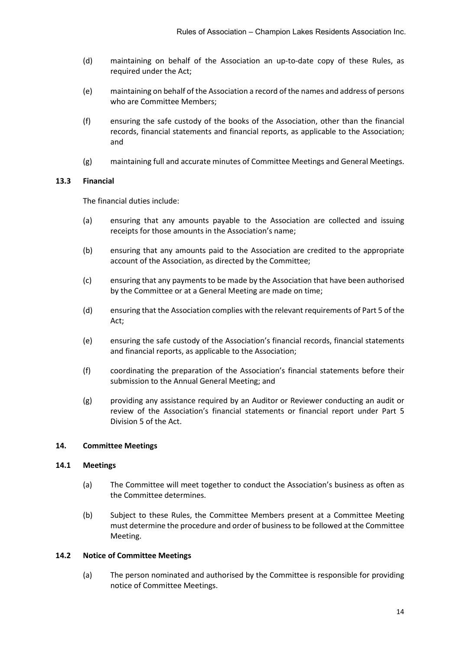- (d) maintaining on behalf of the Association an up-to-date copy of these Rules, as required under the Act;
- <span id="page-16-2"></span>(e) maintaining on behalf of the Association a record of the names and address of persons who are Committee Members;
- (f) ensuring the safe custody of the books of the Association, other than the financial records, financial statements and financial reports, as applicable to the Association; and
- (g) maintaining full and accurate minutes of Committee Meetings and General Meetings.

#### **13.3 Financial**

The financial duties include:

- (a) ensuring that any amounts payable to the Association are collected and issuing receipts for those amounts in the Association's name;
- (b) ensuring that any amounts paid to the Association are credited to the appropriate account of the Association, as directed by the Committee;
- (c) ensuring that any payments to be made by the Association that have been authorised by the Committee or at a General Meeting are made on time;
- (d) ensuring that the Association complies with the relevant requirements of Part 5 of the Act;
- (e) ensuring the safe custody of the Association's financial records, financial statements and financial reports, as applicable to the Association;
- (f) coordinating the preparation of the Association's financial statements before their submission to the Annual General Meeting; and
- (g) providing any assistance required by an Auditor or Reviewer conducting an audit or review of the Association's financial statements or financial report under Part 5 Division 5 of the Act.

# <span id="page-16-0"></span>**14. Committee Meetings**

#### **14.1 Meetings**

- (a) The Committee will meet together to conduct the Association's business as often as the Committee determines.
- (b) Subject to these Rules, the Committee Members present at a Committee Meeting must determine the procedure and order of business to be followed at the Committee Meeting.

#### <span id="page-16-1"></span>**14.2 Notice of Committee Meetings**

(a) The person nominated and authorised by the Committee is responsible for providing notice of Committee Meetings.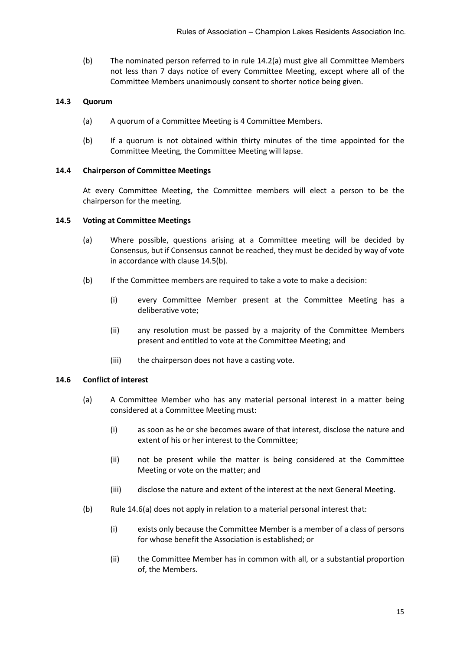(b) The nominated person referred to in rule [14.2\(a\)](#page-16-1) must give all Committee Members not less than 7 days notice of every Committee Meeting, except where all of the Committee Members unanimously consent to shorter notice being given.

#### **14.3 Quorum**

- (a) A quorum of a Committee Meeting is 4 Committee Members.
- (b) If a quorum is not obtained within thirty minutes of the time appointed for the Committee Meeting, the Committee Meeting will lapse.

#### **14.4 Chairperson of Committee Meetings**

At every Committee Meeting, the Committee members will elect a person to be the chairperson for the meeting.

#### **14.5 Voting at Committee Meetings**

- (a) Where possible, questions arising at a Committee meeting will be decided by Consensus, but if Consensus cannot be reached, they must be decided by way of vote in accordance with clause [14.5\(b\).](#page-17-0)
- <span id="page-17-0"></span>(b) If the Committee members are required to take a vote to make a decision:
	- (i) every Committee Member present at the Committee Meeting has a deliberative vote;
	- (ii) any resolution must be passed by a majority of the Committee Members present and entitled to vote at the Committee Meeting; and
	- (iii) the chairperson does not have a casting vote.

# <span id="page-17-1"></span>**14.6 Conflict of interest**

- <span id="page-17-2"></span>(a) A Committee Member who has any material personal interest in a matter being considered at a Committee Meeting must:
	- (i) as soon as he or she becomes aware of that interest, disclose the nature and extent of his or her interest to the Committee;
	- (ii) not be present while the matter is being considered at the Committee Meeting or vote on the matter; and
	- (iii) disclose the nature and extent of the interest at the next General Meeting.
- (b) Rule [14.6\(a\)](#page-17-1) does not apply in relation to a material personal interest that:
	- (i) exists only because the Committee Member is a member of a class of persons for whose benefit the Association is established; or
	- (ii) the Committee Member has in common with all, or a substantial proportion of, the Members.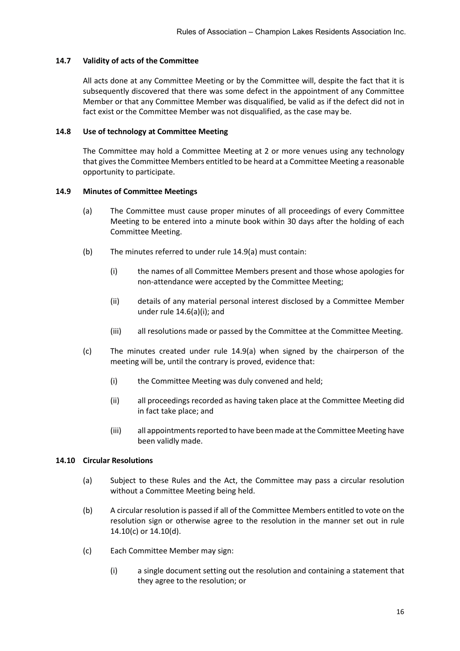#### **14.7 Validity of acts of the Committee**

All acts done at any Committee Meeting or by the Committee will, despite the fact that it is subsequently discovered that there was some defect in the appointment of any Committee Member or that any Committee Member was disqualified, be valid as if the defect did not in fact exist or the Committee Member was not disqualified, as the case may be.

#### **14.8 Use of technology at Committee Meeting**

The Committee may hold a Committee Meeting at 2 or more venues using any technology that gives the Committee Members entitled to be heard at a Committee Meeting a reasonable opportunity to participate.

#### <span id="page-18-0"></span>**14.9 Minutes of Committee Meetings**

- (a) The Committee must cause proper minutes of all proceedings of every Committee Meeting to be entered into a minute book within 30 days after the holding of each Committee Meeting.
- (b) The minutes referred to under rul[e 14.9\(a\)](#page-18-0) must contain:
	- (i) the names of all Committee Members present and those whose apologies for non-attendance were accepted by the Committee Meeting;
	- (ii) details of any material personal interest disclosed by a Committee Member under rule [14.6\(a\)\(i\);](#page-17-2) and
	- (iii) all resolutions made or passed by the Committee at the Committee Meeting.
- (c) The minutes created under rule [14.9\(a\)](#page-18-0) when signed by the chairperson of the meeting will be, until the contrary is proved, evidence that:
	- (i) the Committee Meeting was duly convened and held;
	- (ii) all proceedings recorded as having taken place at the Committee Meeting did in fact take place; and
	- (iii) all appointments reported to have been made at the Committee Meeting have been validly made.

#### **14.10 Circular Resolutions**

- (a) Subject to these Rules and the Act, the Committee may pass a circular resolution without a Committee Meeting being held.
- (b) A circular resolution is passed if all of the Committee Members entitled to vote on the resolution sign or otherwise agree to the resolution in the manner set out in rule [14.10\(c\)](#page-18-1) or [14.10\(d\).](#page-19-3)
- <span id="page-18-1"></span>(c) Each Committee Member may sign:
	- (i) a single document setting out the resolution and containing a statement that they agree to the resolution; or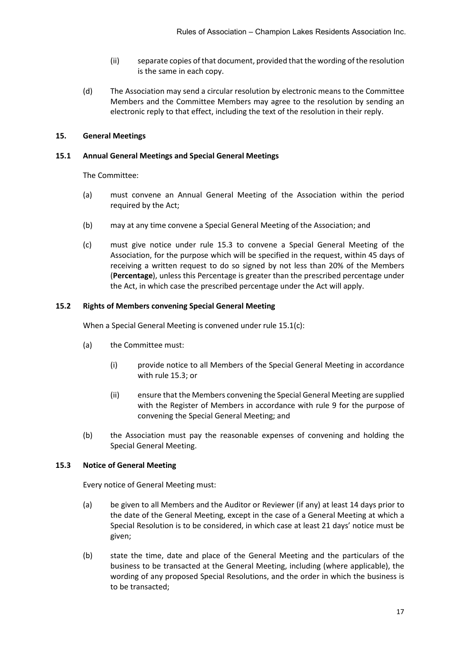- (ii) separate copies of that document, provided that the wording of the resolution is the same in each copy.
- <span id="page-19-3"></span>(d) The Association may send a circular resolution by electronic means to the Committee Members and the Committee Members may agree to the resolution by sending an electronic reply to that effect, including the text of the resolution in their reply.

# <span id="page-19-0"></span>**15. General Meetings**

# <span id="page-19-1"></span>**15.1 Annual General Meetings and Special General Meetings**

The Committee:

- (a) must convene an Annual General Meeting of the Association within the period required by the Act;
- <span id="page-19-4"></span>(b) may at any time convene a Special General Meeting of the Association; and
- (c) must give notice under rule [15.3](#page-19-2) to convene a Special General Meeting of the Association, for the purpose which will be specified in the request, within 45 days of receiving a written request to do so signed by not less than 20% of the Members (**Percentage**), unless this Percentage is greater than the prescribed percentage under the Act, in which case the prescribed percentage under the Act will apply.

# **15.2 Rights of Members convening Special General Meeting**

When a Special General Meeting is convened under rule [15.1\(c\):](#page-19-4)

- (a) the Committee must:
	- (i) provide notice to all Members of the Special General Meeting in accordance with rul[e 15.3;](#page-19-2) or
	- (ii) ensure that the Members convening the Special General Meeting are supplied with the Register of Members in accordance with rule [9](#page-10-0) for the purpose of convening the Special General Meeting; and
- (b) the Association must pay the reasonable expenses of convening and holding the Special General Meeting.

# <span id="page-19-2"></span>**15.3 Notice of General Meeting**

Every notice of General Meeting must:

- (a) be given to all Members and the Auditor or Reviewer (if any) at least 14 days prior to the date of the General Meeting, except in the case of a General Meeting at which a Special Resolution is to be considered, in which case at least 21 days' notice must be given;
- (b) state the time, date and place of the General Meeting and the particulars of the business to be transacted at the General Meeting, including (where applicable), the wording of any proposed Special Resolutions, and the order in which the business is to be transacted;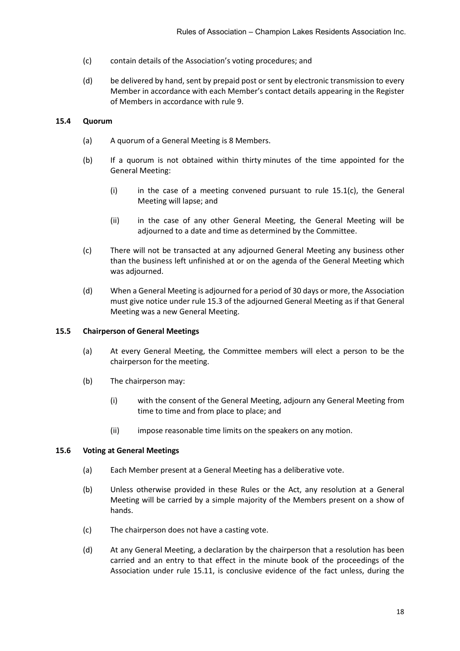- (c) contain details of the Association's voting procedures; and
- (d) be delivered by hand, sent by prepaid post or sent by electronic transmission to every Member in accordance with each Member's contact details appearing in the Register of Members in accordance with rule [9.](#page-10-0)

# **15.4 Quorum**

- (a) A quorum of a General Meeting is 8 Members.
- (b) If a quorum is not obtained within thirty minutes of the time appointed for the General Meeting:
	- (i) in the case of a meeting convened pursuant to rule  $15.1(c)$ , the General Meeting will lapse; and
	- (ii) in the case of any other General Meeting, the General Meeting will be adjourned to a date and time as determined by the Committee.
- (c) There will not be transacted at any adjourned General Meeting any business other than the business left unfinished at or on the agenda of the General Meeting which was adjourned.
- (d) When a General Meeting is adjourned for a period of 30 days or more, the Association must give notice under rule [15.3](#page-19-2) of the adjourned General Meeting as if that General Meeting was a new General Meeting.

# **15.5 Chairperson of General Meetings**

- (a) At every General Meeting, the Committee members will elect a person to be the chairperson for the meeting.
- (b) The chairperson may:
	- (i) with the consent of the General Meeting, adjourn any General Meeting from time to time and from place to place; and
	- (ii) impose reasonable time limits on the speakers on any motion.

# **15.6 Voting at General Meetings**

- (a) Each Member present at a General Meeting has a deliberative vote.
- (b) Unless otherwise provided in these Rules or the Act, any resolution at a General Meeting will be carried by a simple majority of the Members present on a show of hands.
- (c) The chairperson does not have a casting vote.
- (d) At any General Meeting, a declaration by the chairperson that a resolution has been carried and an entry to that effect in the minute book of the proceedings of the Association under rule [15.11,](#page-21-0) is conclusive evidence of the fact unless, during the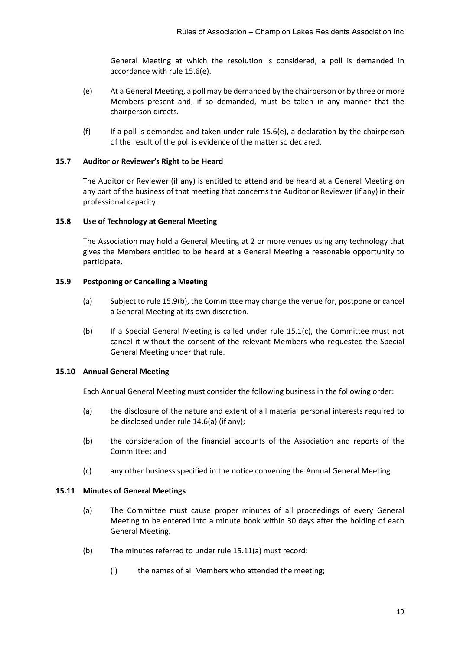General Meeting at which the resolution is considered, a poll is demanded in accordance with rule [15.6\(e\).](#page-21-1)

- <span id="page-21-1"></span>(e) At a General Meeting, a poll may be demanded by the chairperson or by three or more Members present and, if so demanded, must be taken in any manner that the chairperson directs.
- (f) If a poll is demanded and taken under rule  $15.6(e)$ , a declaration by the chairperson of the result of the poll is evidence of the matter so declared.

# **15.7 Auditor or Reviewer's Right to be Heard**

The Auditor or Reviewer (if any) is entitled to attend and be heard at a General Meeting on any part of the business of that meeting that concerns the Auditor or Reviewer (if any) in their professional capacity.

#### **15.8 Use of Technology at General Meeting**

The Association may hold a General Meeting at 2 or more venues using any technology that gives the Members entitled to be heard at a General Meeting a reasonable opportunity to participate.

#### **15.9 Postponing or Cancelling a Meeting**

- (a) Subject to rule [15.9\(b\),](#page-21-2) the Committee may change the venue for, postpone or cancel a General Meeting at its own discretion.
- <span id="page-21-2"></span>(b) If a Special General Meeting is called under rule [15.1\(c\),](#page-19-4) the Committee must not cancel it without the consent of the relevant Members who requested the Special General Meeting under that rule.

# **15.10 Annual General Meeting**

Each Annual General Meeting must consider the following business in the following order:

- (a) the disclosure of the nature and extent of all material personal interests required to be disclosed under rul[e 14.6\(a\)](#page-17-1) (if any);
- (b) the consideration of the financial accounts of the Association and reports of the Committee; and
- (c) any other business specified in the notice convening the Annual General Meeting.

# <span id="page-21-3"></span><span id="page-21-0"></span>**15.11 Minutes of General Meetings**

- (a) The Committee must cause proper minutes of all proceedings of every General Meeting to be entered into a minute book within 30 days after the holding of each General Meeting.
- (b) The minutes referred to under rul[e 15.11\(a\)](#page-21-3) must record:
	- (i) the names of all Members who attended the meeting;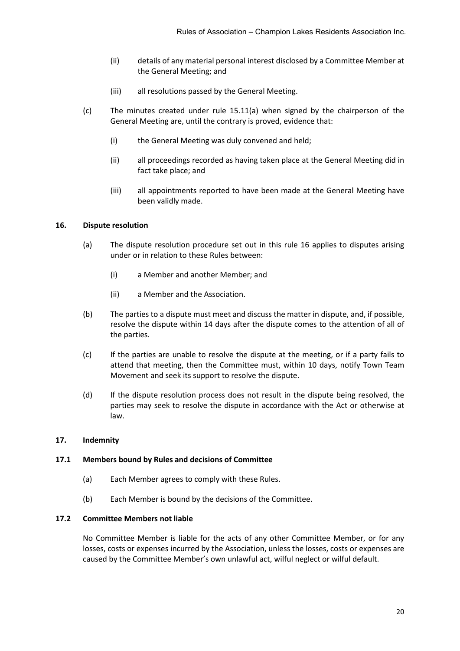- (ii) details of any material personal interest disclosed by a Committee Member at the General Meeting; and
- (iii) all resolutions passed by the General Meeting.
- (c) The minutes created under rule [15.11\(a\)](#page-21-3) when signed by the chairperson of the General Meeting are, until the contrary is proved, evidence that:
	- (i) the General Meeting was duly convened and held;
	- (ii) all proceedings recorded as having taken place at the General Meeting did in fact take place; and
	- (iii) all appointments reported to have been made at the General Meeting have been validly made.

#### <span id="page-22-0"></span>**16. Dispute resolution**

- (a) The dispute resolution procedure set out in this rule [16](#page-22-0) applies to disputes arising under or in relation to these Rules between:
	- (i) a Member and another Member; and
	- (ii) a Member and the Association.
- (b) The parties to a dispute must meet and discuss the matter in dispute, and, if possible, resolve the dispute within 14 days after the dispute comes to the attention of all of the parties.
- (c) If the parties are unable to resolve the dispute at the meeting, or if a party fails to attend that meeting, then the Committee must, within 10 days, notify Town Team Movement and seek its support to resolve the dispute.
- (d) If the dispute resolution process does not result in the dispute being resolved, the parties may seek to resolve the dispute in accordance with the Act or otherwise at law.

#### <span id="page-22-1"></span>**17. Indemnity**

#### **17.1 Members bound by Rules and decisions of Committee**

- (a) Each Member agrees to comply with these Rules.
- (b) Each Member is bound by the decisions of the Committee.

#### **17.2 Committee Members not liable**

No Committee Member is liable for the acts of any other Committee Member, or for any losses, costs or expenses incurred by the Association, unless the losses, costs or expenses are caused by the Committee Member's own unlawful act, wilful neglect or wilful default.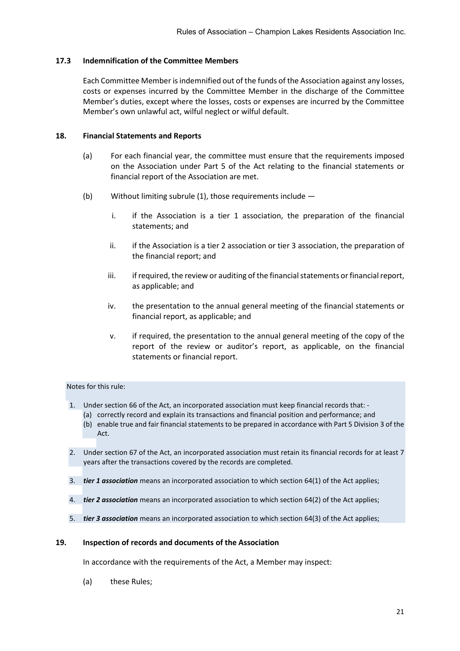#### **17.3 Indemnification of the Committee Members**

Each Committee Member isindemnified out of the funds of the Association against any losses, costs or expenses incurred by the Committee Member in the discharge of the Committee Member's duties, except where the losses, costs or expenses are incurred by the Committee Member's own unlawful act, wilful neglect or wilful default.

#### <span id="page-23-0"></span>**18. Financial Statements and Reports**

- (a) For each financial year, the committee must ensure that the requirements imposed on the Association under Part 5 of the Act relating to the financial statements or financial report of the Association are met.
- (b) Without limiting subrule (1), those requirements include
	- i. if the Association is a tier 1 association, the preparation of the financial statements; and
	- ii. if the Association is a tier 2 association or tier 3 association, the preparation of the financial report; and
	- iii. if required, the review or auditing of the financial statements or financial report, as applicable; and
	- iv. the presentation to the annual general meeting of the financial statements or financial report, as applicable; and
	- v. if required, the presentation to the annual general meeting of the copy of the report of the review or auditor's report, as applicable, on the financial statements or financial report.

#### Notes for this rule:

- 1. Under section 66 of the Act, an incorporated association must keep financial records that:
	- (a) correctly record and explain its transactions and financial position and performance; and (b) enable true and fair financial statements to be prepared in accordance with Part 5 Division 3 of the Act.
- 2. Under section 67 of the Act, an incorporated association must retain its financial records for at least 7 years after the transactions covered by the records are completed.
- 3. *tier 1 association* means an incorporated association to which section 64(1) of the Act applies;
- 4. *tier 2 association* means an incorporated association to which section 64(2) of the Act applies;
- 5. *tier 3 association* means an incorporated association to which section 64(3) of the Act applies;

#### <span id="page-23-1"></span>**19. Inspection of records and documents of the Association**

In accordance with the requirements of the Act, a Member may inspect:

(a) these Rules;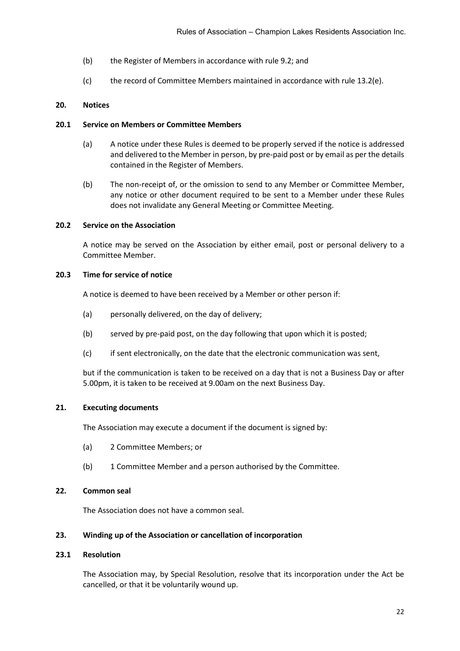- (b) the Register of Members in accordance with rule [9.2;](#page-10-2) and
- (c) the record of Committee Members maintained in accordance with rule [13.2\(e\).](#page-16-2)

# <span id="page-24-0"></span>**20. Notices**

# **20.1 Service on Members or Committee Members**

- (a) A notice under these Rules is deemed to be properly served if the notice is addressed and delivered to the Member in person, by pre-paid post or by email as per the details contained in the Register of Members.
- (b) The non-receipt of, or the omission to send to any Member or Committee Member, any notice or other document required to be sent to a Member under these Rules does not invalidate any General Meeting or Committee Meeting.

# **20.2 Service on the Association**

A notice may be served on the Association by either email, post or personal delivery to a Committee Member.

# **20.3 Time for service of notice**

A notice is deemed to have been received by a Member or other person if:

- (a) personally delivered, on the day of delivery;
- (b) served by pre-paid post, on the day following that upon which it is posted;
- (c) if sent electronically, on the date that the electronic communication was sent,

but if the communication is taken to be received on a day that is not a Business Day or after 5.00pm, it is taken to be received at 9.00am on the next Business Day.

# <span id="page-24-1"></span>**21. Executing documents**

The Association may execute a document if the document is signed by:

- (a) 2 Committee Members; or
- (b) 1 Committee Member and a person authorised by the Committee.

# <span id="page-24-2"></span>**22. Common seal**

The Association does not have a common seal.

# <span id="page-24-3"></span>**23. Winding up of the Association or cancellation of incorporation**

# **23.1 Resolution**

The Association may, by Special Resolution, resolve that its incorporation under the Act be cancelled, or that it be voluntarily wound up.